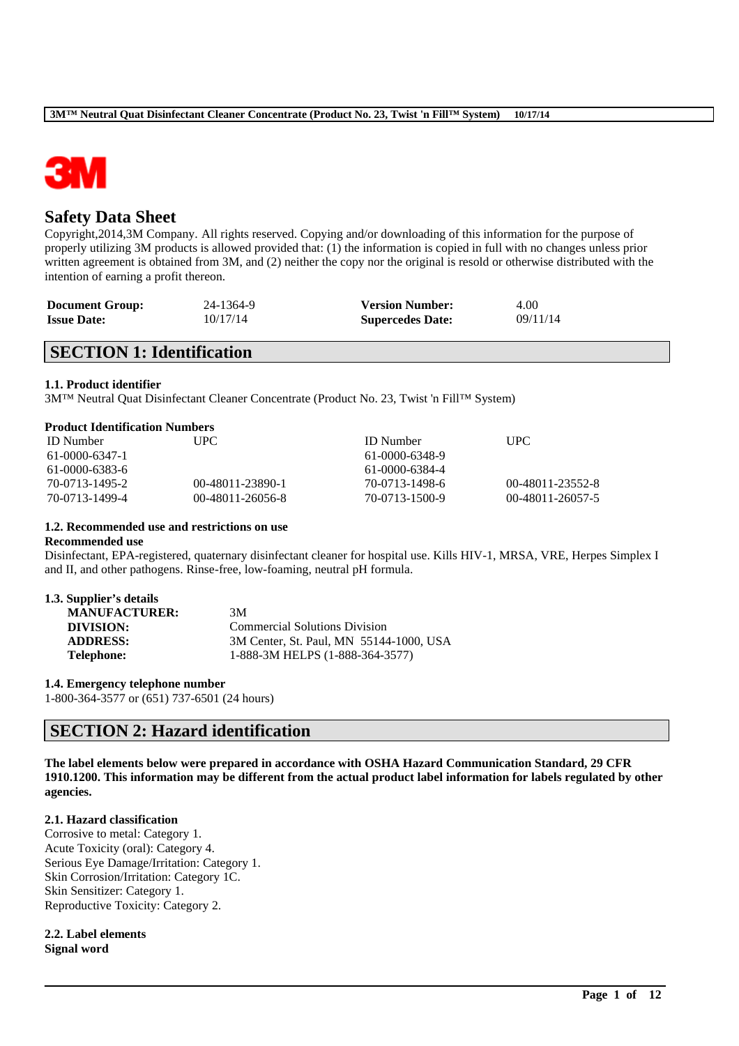

# **Safety Data Sheet**

Copyright,2014,3M Company. All rights reserved. Copying and/or downloading of this information for the purpose of properly utilizing 3M products is allowed provided that: (1) the information is copied in full with no changes unless prior written agreement is obtained from 3M, and (2) neither the copy nor the original is resold or otherwise distributed with the intention of earning a profit thereon.

| <b>Document Group:</b> | 24-1364-9 | <b>Version Number:</b>  | 4.00     |
|------------------------|-----------|-------------------------|----------|
| <b>Issue Date:</b>     | 10/17/14  | <b>Supercedes Date:</b> | 09/11/14 |

# **SECTION 1: Identification**

### **1.1. Product identifier**

3M™ Neutral Quat Disinfectant Cleaner Concentrate (Product No. 23, Twist 'n Fill™ System)

| <b>ID</b> Number | UPC.               | <b>ID</b> Number | UPC.                    |
|------------------|--------------------|------------------|-------------------------|
| 61-0000-6347-1   |                    | 61-0000-6348-9   |                         |
| 61-0000-6383-6   |                    | 61-0000-6384-4   |                         |
| 70-0713-1495-2   | 00-48011-23890-1   | 70-0713-1498-6   | 00-48011-23552-8        |
| 70-0713-1499-4   | $00-48011-26056-8$ | 70-0713-1500-9   | $(0.48011 - 26057 - 5)$ |

### **1.2. Recommended use and restrictions on use**

#### **Recommended use**

Disinfectant, EPA-registered, quaternary disinfectant cleaner for hospital use. Kills HIV-1, MRSA, VRE, Herpes Simplex I and II, and other pathogens. Rinse-free, low-foaming, neutral pH formula.

#### **1.3. Supplier's details**

| 3M                                      |
|-----------------------------------------|
| <b>Commercial Solutions Division</b>    |
| 3M Center, St. Paul, MN 55144-1000, USA |
| 1-888-3M HELPS (1-888-364-3577)         |
|                                         |

**1.4. Emergency telephone number**

1-800-364-3577 or (651) 737-6501 (24 hours)

# **SECTION 2: Hazard identification**

**The label elements below were prepared in accordance with OSHA Hazard Communication Standard, 29 CFR 1910.1200. This information may be different from the actual product label information for labels regulated by other agencies.**

\_\_\_\_\_\_\_\_\_\_\_\_\_\_\_\_\_\_\_\_\_\_\_\_\_\_\_\_\_\_\_\_\_\_\_\_\_\_\_\_\_\_\_\_\_\_\_\_\_\_\_\_\_\_\_\_\_\_\_\_\_\_\_\_\_\_\_\_\_\_\_\_\_\_\_\_\_\_\_\_\_\_\_\_\_\_\_\_\_\_

#### **2.1. Hazard classification**

Corrosive to metal: Category 1. Acute Toxicity (oral): Category 4. Serious Eye Damage/Irritation: Category 1. Skin Corrosion/Irritation: Category 1C. Skin Sensitizer: Category 1. Reproductive Toxicity: Category 2.

**2.2. Label elements Signal word**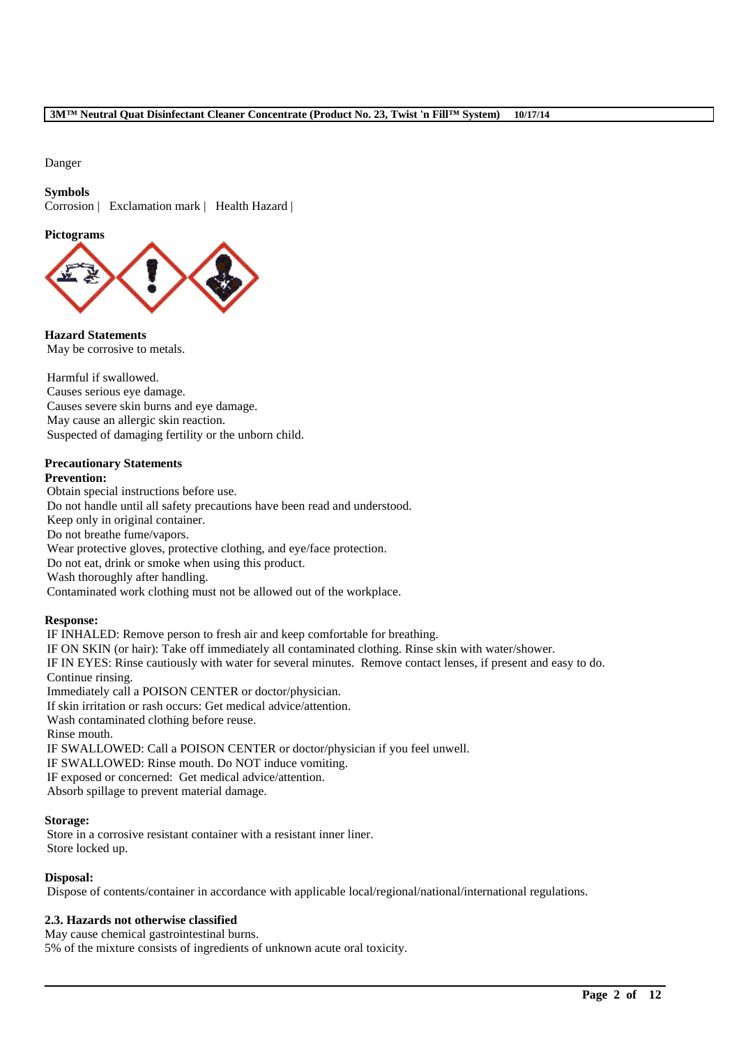Danger

### **Symbols**

Corrosion | Exclamation mark | Health Hazard |

### **Pictograms**



**Hazard Statements** May be corrosive to metals.

Harmful if swallowed. Causes serious eye damage. Causes severe skin burns and eye damage. May cause an allergic skin reaction. Suspected of damaging fertility or the unborn child.

### **Precautionary Statements**

### **Prevention:**

Obtain special instructions before use. Do not handle until all safety precautions have been read and understood. Keep only in original container. Do not breathe fume/vapors. Wear protective gloves, protective clothing, and eye/face protection. Do not eat, drink or smoke when using this product. Wash thoroughly after handling. Contaminated work clothing must not be allowed out of the workplace.

### **Response:**

IF INHALED: Remove person to fresh air and keep comfortable for breathing. IF ON SKIN (or hair): Take off immediately all contaminated clothing. Rinse skin with water/shower. IF IN EYES: Rinse cautiously with water for several minutes. Remove contact lenses, if present and easy to do. Continue rinsing. Immediately call a POISON CENTER or doctor/physician. If skin irritation or rash occurs: Get medical advice/attention. Wash contaminated clothing before reuse. Rinse mouth. IF SWALLOWED: Call a POISON CENTER or doctor/physician if you feel unwell. IF SWALLOWED: Rinse mouth. Do NOT induce vomiting. IF exposed or concerned: Get medical advice/attention. Absorb spillage to prevent material damage.

### **Storage:**

Store in a corrosive resistant container with a resistant inner liner. Store locked up.

### **Disposal:**

Dispose of contents/container in accordance with applicable local/regional/national/international regulations.

\_\_\_\_\_\_\_\_\_\_\_\_\_\_\_\_\_\_\_\_\_\_\_\_\_\_\_\_\_\_\_\_\_\_\_\_\_\_\_\_\_\_\_\_\_\_\_\_\_\_\_\_\_\_\_\_\_\_\_\_\_\_\_\_\_\_\_\_\_\_\_\_\_\_\_\_\_\_\_\_\_\_\_\_\_\_\_\_\_\_

### **2.3. Hazards not otherwise classified**

May cause chemical gastrointestinal burns. 5% of the mixture consists of ingredients of unknown acute oral toxicity.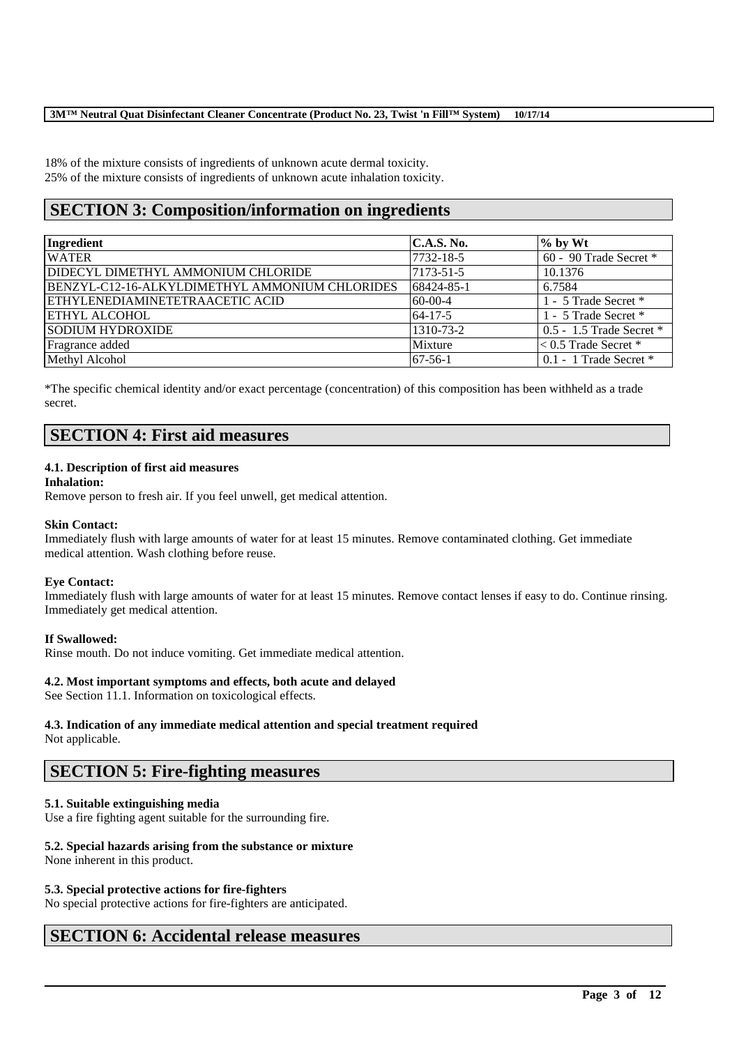18% of the mixture consists of ingredients of unknown acute dermal toxicity. 25% of the mixture consists of ingredients of unknown acute inhalation toxicity.

# **SECTION 3: Composition/information on ingredients**

| Ingredient                                     | C.A.S. No.    | $\%$ by Wt                 |
|------------------------------------------------|---------------|----------------------------|
| <b>WATER</b>                                   | 7732-18-5     | 60 - 90 Trade Secret *     |
| <b>IDIDECYL DIMETHYL AMMONIUM CHLORIDE</b>     | 7173-51-5     | 10.1376                    |
| BENZYL-C12-16-ALKYLDIMETHYL AMMONIUM CHLORIDES | 68424-85-1    | 6.7584                     |
| ETHYLENEDIAMINETETRAACETIC ACID                | $60-00-4$     | 1 - 5 Trade Secret *       |
| <b>ETHYL ALCOHOL</b>                           | $64 - 17 - 5$ | 1 - 5 Trade Secret *       |
| <b>SODIUM HYDROXIDE</b>                        | 1310-73-2     | 0.5 - 1.5 Trade Secret *   |
| Fragrance added                                | Mixture       | $< 0.5$ Trade Secret *     |
| Methyl Alcohol                                 | $67-56-1$     | $0.1 - 1$ Trade Secret $*$ |

\*The specific chemical identity and/or exact percentage (concentration) of this composition has been withheld as a trade secret.

# **SECTION 4: First aid measures**

### **4.1. Description of first aid measures**

### **Inhalation:**

Remove person to fresh air. If you feel unwell, get medical attention.

### **Skin Contact:**

Immediately flush with large amounts of water for at least 15 minutes. Remove contaminated clothing. Get immediate medical attention. Wash clothing before reuse.

#### **Eye Contact:**

Immediately flush with large amounts of water for at least 15 minutes. Remove contact lenses if easy to do. Continue rinsing. Immediately get medical attention.

\_\_\_\_\_\_\_\_\_\_\_\_\_\_\_\_\_\_\_\_\_\_\_\_\_\_\_\_\_\_\_\_\_\_\_\_\_\_\_\_\_\_\_\_\_\_\_\_\_\_\_\_\_\_\_\_\_\_\_\_\_\_\_\_\_\_\_\_\_\_\_\_\_\_\_\_\_\_\_\_\_\_\_\_\_\_\_\_\_\_

### **If Swallowed:**

Rinse mouth. Do not induce vomiting. Get immediate medical attention.

### **4.2. Most important symptoms and effects, both acute and delayed**

See Section 11.1. Information on toxicological effects.

# **4.3. Indication of any immediate medical attention and special treatment required**

Not applicable.

# **SECTION 5: Fire-fighting measures**

### **5.1. Suitable extinguishing media**

Use a fire fighting agent suitable for the surrounding fire.

### **5.2. Special hazards arising from the substance or mixture**

None inherent in this product.

### **5.3. Special protective actions for fire-fighters**

No special protective actions for fire-fighters are anticipated.

# **SECTION 6: Accidental release measures**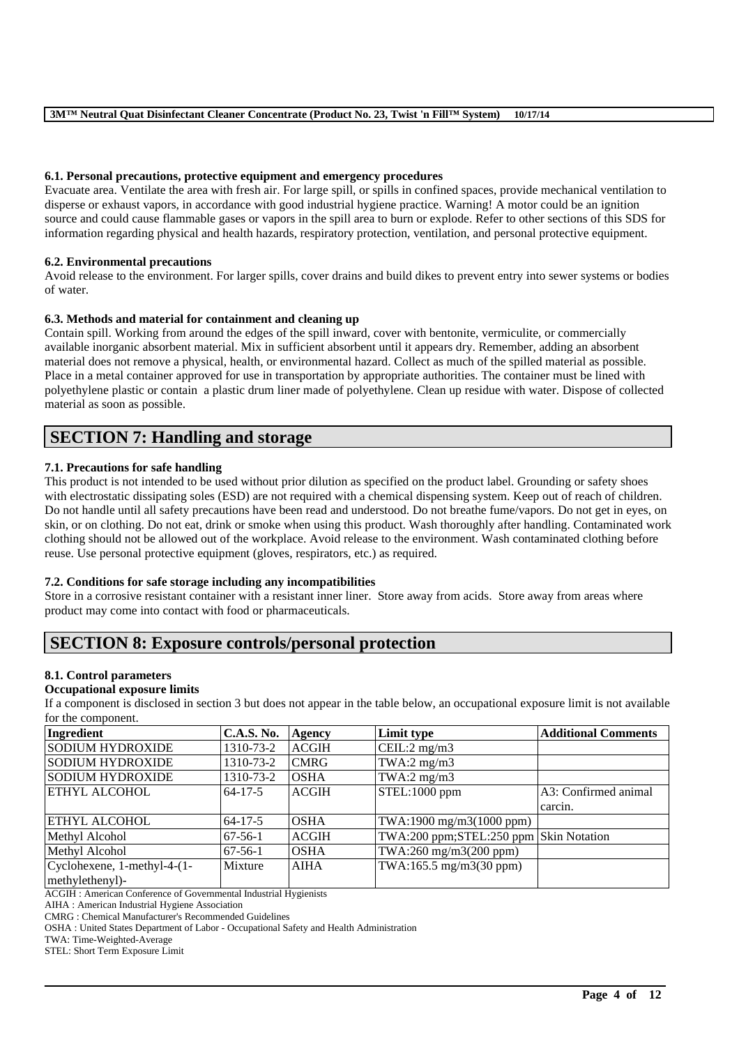### **6.1. Personal precautions, protective equipment and emergency procedures**

Evacuate area. Ventilate the area with fresh air. For large spill, or spills in confined spaces, provide mechanical ventilation to disperse or exhaust vapors, in accordance with good industrial hygiene practice. Warning! A motor could be an ignition source and could cause flammable gases or vapors in the spill area to burn or explode. Refer to other sections of this SDS for information regarding physical and health hazards, respiratory protection, ventilation, and personal protective equipment.

### **6.2. Environmental precautions**

Avoid release to the environment. For larger spills, cover drains and build dikes to prevent entry into sewer systems or bodies of water.

### **6.3. Methods and material for containment and cleaning up**

Contain spill. Working from around the edges of the spill inward, cover with bentonite, vermiculite, or commercially available inorganic absorbent material. Mix in sufficient absorbent until it appears dry. Remember, adding an absorbent material does not remove a physical, health, or environmental hazard. Collect as much of the spilled material as possible. Place in a metal container approved for use in transportation by appropriate authorities. The container must be lined with polyethylene plastic or contain a plastic drum liner made of polyethylene. Clean up residue with water. Dispose of collected material as soon as possible.

# **SECTION 7: Handling and storage**

### **7.1. Precautions for safe handling**

This product is not intended to be used without prior dilution as specified on the product label. Grounding or safety shoes with electrostatic dissipating soles (ESD) are not required with a chemical dispensing system. Keep out of reach of children. Do not handle until all safety precautions have been read and understood. Do not breathe fume/vapors. Do not get in eyes, on skin, or on clothing. Do not eat, drink or smoke when using this product. Wash thoroughly after handling. Contaminated work clothing should not be allowed out of the workplace. Avoid release to the environment. Wash contaminated clothing before reuse. Use personal protective equipment (gloves, respirators, etc.) as required.

### **7.2. Conditions for safe storage including any incompatibilities**

Store in a corrosive resistant container with a resistant inner liner. Store away from acids. Store away from areas where product may come into contact with food or pharmaceuticals.

# **SECTION 8: Exposure controls/personal protection**

### **8.1. Control parameters**

### **Occupational exposure limits**

If a component is disclosed in section 3 but does not appear in the table below, an occupational exposure limit is not available for the component.

| Ingredient                  | <b>C.A.S. No.</b> | Agency       | Limit type                             | <b>Additional Comments</b> |
|-----------------------------|-------------------|--------------|----------------------------------------|----------------------------|
| <b>SODIUM HYDROXIDE</b>     | 1310-73-2         | <b>ACGIH</b> | CEIL: $2 \text{ mg/m}$                 |                            |
| SODIUM HYDROXIDE            | 1310-73-2         | <b>CMRG</b>  | TWA:2 $mg/m3$                          |                            |
| SODIUM HYDROXIDE            | 1310-73-2         | <b>OSHA</b>  | TWA:2 $mg/m3$                          |                            |
| <b>ETHYL ALCOHOL</b>        | $64 - 17 - 5$     | <b>ACGIH</b> | STEL:1000 ppm                          | A3: Confirmed animal       |
|                             |                   |              |                                        | carcin.                    |
| <b>ETHYL ALCOHOL</b>        | $64 - 17 - 5$     | <b>OSHA</b>  | TWA:1900 mg/m3(1000 ppm)               |                            |
| Methyl Alcohol              | $67-56-1$         | <b>ACGIH</b> | TWA:200 ppm;STEL:250 ppm Skin Notation |                            |
| Methyl Alcohol              | $67-56-1$         | <b>OSHA</b>  | TWA:260 mg/m3(200 ppm)                 |                            |
| Cyclohexene, 1-methyl-4-(1- | Mixture           | <b>AIHA</b>  | TWA:165.5 mg/m3(30 ppm)                |                            |
| methylethenyl)-             |                   |              |                                        |                            |

\_\_\_\_\_\_\_\_\_\_\_\_\_\_\_\_\_\_\_\_\_\_\_\_\_\_\_\_\_\_\_\_\_\_\_\_\_\_\_\_\_\_\_\_\_\_\_\_\_\_\_\_\_\_\_\_\_\_\_\_\_\_\_\_\_\_\_\_\_\_\_\_\_\_\_\_\_\_\_\_\_\_\_\_\_\_\_\_\_\_

ACGIH : American Conference of Governmental Industrial Hygienists

AIHA : American Industrial Hygiene Association

CMRG : Chemical Manufacturer's Recommended Guidelines

OSHA : United States Department of Labor - Occupational Safety and Health Administration

TWA: Time-Weighted-Average

STEL: Short Term Exposure Limit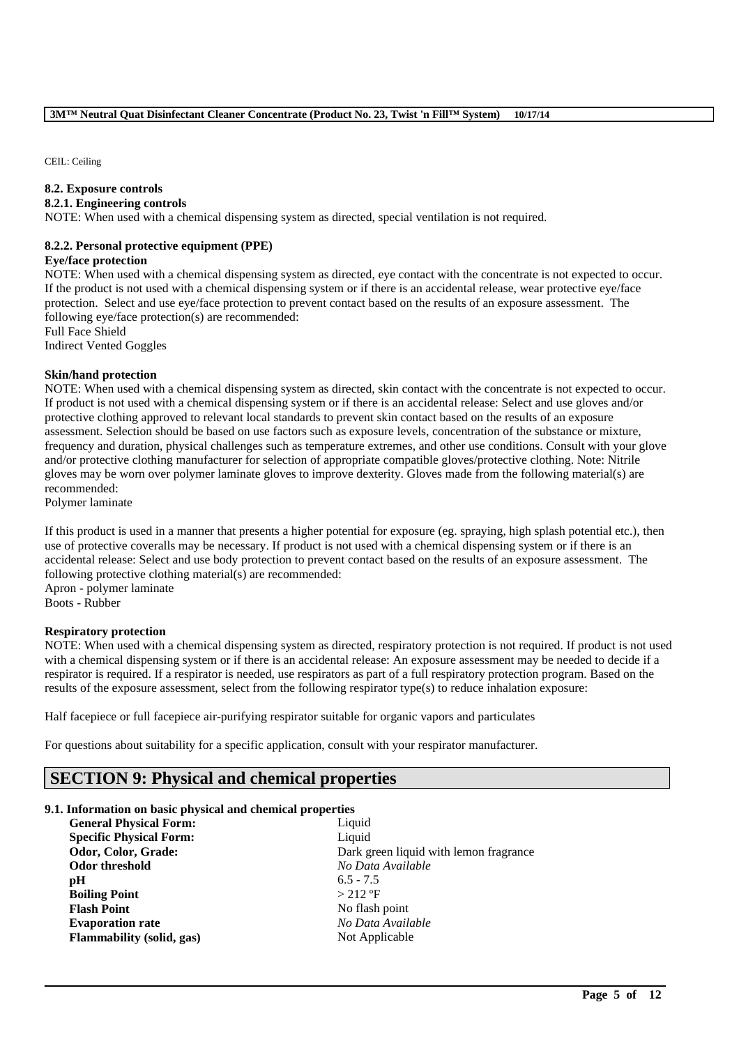CEIL: Ceiling

### **8.2. Exposure controls**

### **8.2.1. Engineering controls**

NOTE: When used with a chemical dispensing system as directed, special ventilation is not required.

### **8.2.2. Personal protective equipment (PPE)**

#### **Eye/face protection**

NOTE: When used with a chemical dispensing system as directed, eye contact with the concentrate is not expected to occur. If the product is not used with a chemical dispensing system or if there is an accidental release, wear protective eye/face protection. Select and use eye/face protection to prevent contact based on the results of an exposure assessment. The following eye/face protection(s) are recommended:

Full Face Shield Indirect Vented Goggles

### **Skin/hand protection**

NOTE: When used with a chemical dispensing system as directed, skin contact with the concentrate is not expected to occur. If product is not used with a chemical dispensing system or if there is an accidental release: Select and use gloves and/or protective clothing approved to relevant local standards to prevent skin contact based on the results of an exposure assessment. Selection should be based on use factors such as exposure levels, concentration of the substance or mixture, frequency and duration, physical challenges such as temperature extremes, and other use conditions. Consult with your glove and/or protective clothing manufacturer for selection of appropriate compatible gloves/protective clothing. Note: Nitrile gloves may be worn over polymer laminate gloves to improve dexterity. Gloves made from the following material(s) are recommended:

Polymer laminate

If this product is used in a manner that presents a higher potential for exposure (eg. spraying, high splash potential etc.), then use of protective coveralls may be necessary. If product is not used with a chemical dispensing system or if there is an accidental release: Select and use body protection to prevent contact based on the results of an exposure assessment. The following protective clothing material(s) are recommended:

Apron - polymer laminate Boots - Rubber

### **Respiratory protection**

NOTE: When used with a chemical dispensing system as directed, respiratory protection is not required. If product is not used with a chemical dispensing system or if there is an accidental release: An exposure assessment may be needed to decide if a respirator is required. If a respirator is needed, use respirators as part of a full respiratory protection program. Based on the results of the exposure assessment, select from the following respirator type(s) to reduce inhalation exposure:

\_\_\_\_\_\_\_\_\_\_\_\_\_\_\_\_\_\_\_\_\_\_\_\_\_\_\_\_\_\_\_\_\_\_\_\_\_\_\_\_\_\_\_\_\_\_\_\_\_\_\_\_\_\_\_\_\_\_\_\_\_\_\_\_\_\_\_\_\_\_\_\_\_\_\_\_\_\_\_\_\_\_\_\_\_\_\_\_\_\_

Half facepiece or full facepiece air-purifying respirator suitable for organic vapors and particulates

For questions about suitability for a specific application, consult with your respirator manufacturer.

# **SECTION 9: Physical and chemical properties**

### **9.1. Information on basic physical and chemical properties**

| <b>General Physical Form:</b>    | Liquid             |
|----------------------------------|--------------------|
| <b>Specific Physical Form:</b>   | Liquid             |
| Odor, Color, Grade:              | Dark g             |
| Odor threshold                   | No Da              |
| рH                               | $6.5 - 7$          |
| <b>Boiling Point</b>             | >212'              |
| <b>Flash Point</b>               | No fla:            |
| <b>Evaporation rate</b>          | No Da              |
| <b>Flammability (solid, gas)</b> | Not A <sub>1</sub> |
|                                  |                    |

Liquid Dark green liquid with lemon fragrance **Odor threshold** *No Data Available* **pH** 6.5 - 7.5  $> 212 °F$ **Flash Point** No flash point **Evaporation rate** *No Data Available* **Not Applicable**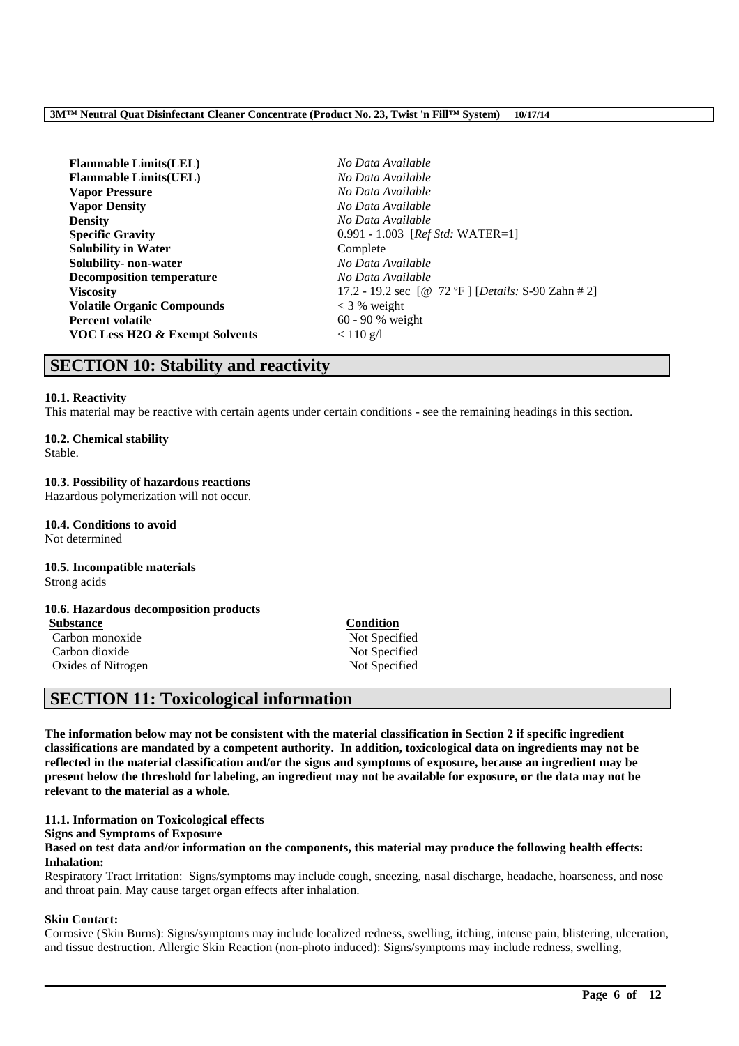| <b>Flammable Limits(LEL)</b>      | No Data Available                                   |
|-----------------------------------|-----------------------------------------------------|
| <b>Flammable Limits(UEL)</b>      | No Data Available                                   |
| <b>Vapor Pressure</b>             | No Data Available                                   |
| <b>Vapor Density</b>              | No Data Available                                   |
| <b>Density</b>                    | No Data Available                                   |
| <b>Specific Gravity</b>           | 0.991 - 1.003 [Ref Std: WATER=1]                    |
| <b>Solubility in Water</b>        | Complete                                            |
| Solubility- non-water             | No Data Available                                   |
| <b>Decomposition temperature</b>  | No Data Available                                   |
| <b>Viscosity</b>                  | 17.2 - 19.2 sec [@ 72 °F ] [Details: S-90 Zahn # 2] |
| <b>Volatile Organic Compounds</b> | $<$ 3 % weight                                      |
| <b>Percent volatile</b>           | $60 - 90 %$ weight                                  |
| VOC Less H2O & Exempt Solvents    | $< 110$ g/l                                         |
|                                   |                                                     |

# **SECTION 10: Stability and reactivity**

### **10.1. Reactivity**

This material may be reactive with certain agents under certain conditions - see the remaining headings in this section.

# **10.2. Chemical stability**

Stable.

### **10.3. Possibility of hazardous reactions**

Hazardous polymerization will not occur.

**10.4. Conditions to avoid** Not determined

#### **10.5. Incompatible materials** Strong acids

### **10.6. Hazardous decomposition products**

**Substance Condition** Carbon monoxide Not Specified Carbon dioxide Not Specified Oxides of Nitrogen Not Specified

# **SECTION 11: Toxicological information**

**The information below may not be consistent with the material classification in Section 2 if specific ingredient classifications are mandated by a competent authority. In addition, toxicological data on ingredients may not be reflected in the material classification and/or the signs and symptoms of exposure, because an ingredient may be present below the threshold for labeling, an ingredient may not be available for exposure, or the data may not be relevant to the material as a whole.**

### **11.1. Information on Toxicological effects**

### **Signs and Symptoms of Exposure**

### **Based on test data and/or information on the components, this material may produce the following health effects: Inhalation:**

Respiratory Tract Irritation: Signs/symptoms may include cough, sneezing, nasal discharge, headache, hoarseness, and nose and throat pain. May cause target organ effects after inhalation.

### **Skin Contact:**

Corrosive (Skin Burns): Signs/symptoms may include localized redness, swelling, itching, intense pain, blistering, ulceration, and tissue destruction. Allergic Skin Reaction (non-photo induced): Signs/symptoms may include redness, swelling,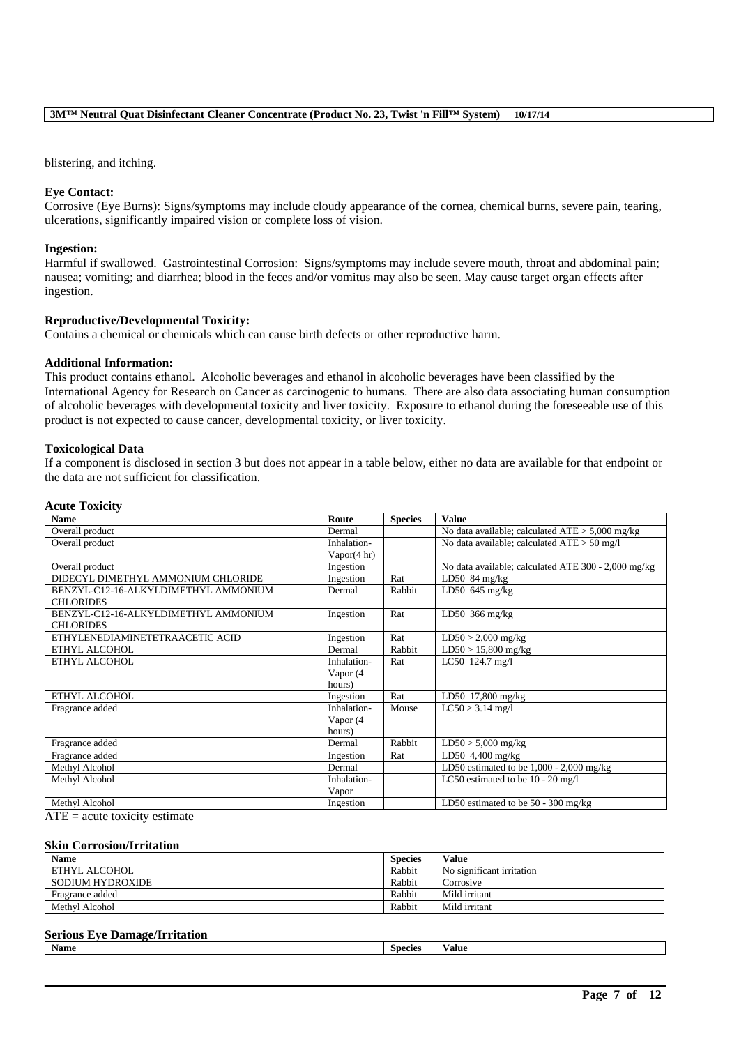blistering, and itching.

### **Eye Contact:**

Corrosive (Eye Burns): Signs/symptoms may include cloudy appearance of the cornea, chemical burns, severe pain, tearing, ulcerations, significantly impaired vision or complete loss of vision.

#### **Ingestion:**

Harmful if swallowed. Gastrointestinal Corrosion: Signs/symptoms may include severe mouth, throat and abdominal pain; nausea; vomiting; and diarrhea; blood in the feces and/or vomitus may also be seen. May cause target organ effects after ingestion.

### **Reproductive/Developmental Toxicity:**

Contains a chemical or chemicals which can cause birth defects or other reproductive harm.

### **Additional Information:**

This product contains ethanol. Alcoholic beverages and ethanol in alcoholic beverages have been classified by the International Agency for Research on Cancer as carcinogenic to humans. There are also data associating human consumption of alcoholic beverages with developmental toxicity and liver toxicity. Exposure to ethanol during the foreseeable use of this product is not expected to cause cancer, developmental toxicity, or liver toxicity.

### **Toxicological Data**

If a component is disclosed in section 3 but does not appear in a table below, either no data are available for that endpoint or the data are not sufficient for classification.

### **Acute Toxicity**

| <b>Name</b>                          | Route       | <b>Species</b> | <b>Value</b>                                        |
|--------------------------------------|-------------|----------------|-----------------------------------------------------|
| Overall product                      | Dermal      |                | No data available; calculated $ATE > 5,000$ mg/kg   |
| Overall product                      | Inhalation- |                | No data available; calculated $ATE > 50$ mg/l       |
|                                      | Vapor(4 hr) |                |                                                     |
| Overall product                      | Ingestion   |                | No data available; calculated ATE 300 - 2,000 mg/kg |
| DIDECYL DIMETHYL AMMONIUM CHLORIDE   | Ingestion   | Rat            | LD50 $84 \text{ mg/kg}$                             |
| BENZYL-C12-16-ALKYLDIMETHYL AMMONIUM | Dermal      | Rabbit         | LD50 $645$ mg/kg                                    |
| <b>CHLORIDES</b>                     |             |                |                                                     |
| BENZYL-C12-16-ALKYLDIMETHYL AMMONIUM | Ingestion   | Rat            | LD50 $366$ mg/kg                                    |
| <b>CHLORIDES</b>                     |             |                |                                                     |
| ETHYLENEDIAMINETETRAACETIC ACID      | Ingestion   | Rat            | $LD50 > 2,000$ mg/kg                                |
| ETHYL ALCOHOL                        | Dermal      | Rabbit         | $LD50 > 15,800$ mg/kg                               |
| ETHYL ALCOHOL                        | Inhalation- | Rat            | LC50 124.7 mg/l                                     |
|                                      | Vapor $(4)$ |                |                                                     |
|                                      | hours)      |                |                                                     |
| ETHYL ALCOHOL                        | Ingestion   | Rat            | LD50 17,800 mg/kg                                   |
| Fragrance added                      | Inhalation- | Mouse          | $LC50 > 3.14$ mg/l                                  |
|                                      | Vapor $(4)$ |                |                                                     |
|                                      | hours)      |                |                                                     |
| Fragrance added                      | Dermal      | Rabbit         | $LD50 > 5,000$ mg/kg                                |
| Fragrance added                      | Ingestion   | Rat            | $\overline{\text{LD50}}$ 4,400 mg/kg                |
| Methyl Alcohol                       | Dermal      |                | LD50 estimated to be $1,000 - 2,000$ mg/kg          |
| Methyl Alcohol                       | Inhalation- |                | LC50 estimated to be $10 - 20$ mg/l                 |
|                                      | Vapor       |                |                                                     |
| Methyl Alcohol                       | Ingestion   |                | LD50 estimated to be $50 - 300$ mg/kg               |

 $ATE = acute$  toxicity estimate

#### **Skin Corrosion/Irritation**

| <b>Name</b>      | <b>Species</b> | Value                     |
|------------------|----------------|---------------------------|
| ETHYL ALCOHOL    | Rabbit         | No significant irritation |
| SODIUM HYDROXIDE | Rabbit         | Corrosive                 |
| Fragrance added  | Rabbit         | Mild irritant             |
| Methyl Alcohol   | Rabbit         | Mild irritant             |

#### **Serious Eye Damage/Irritation**

| $-$<br>Name<br>Species<br>alue |  |
|--------------------------------|--|
|--------------------------------|--|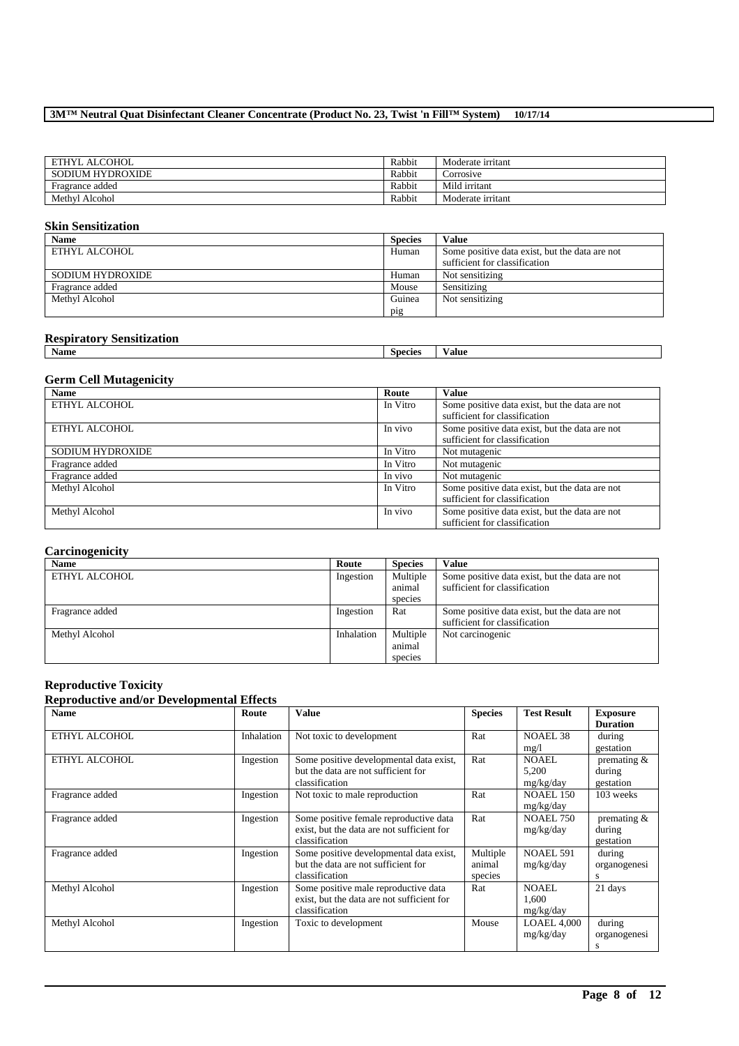| ETHYL ALCOHOL    | Rabbit | Moderate irritant |
|------------------|--------|-------------------|
| SODIUM HYDROXIDE | Rabbit | Corrosive         |
| Fragrance added  | Rabbit | Mild irritant     |
| Methyl Alcohol   | Rabbit | Moderate irritant |

### **Skin Sensitization**

| <b>Name</b>      | <b>Species</b> | Value                                          |
|------------------|----------------|------------------------------------------------|
| ETHYL ALCOHOL    | Human          | Some positive data exist, but the data are not |
|                  |                | sufficient for classification                  |
| SODIUM HYDROXIDE | Human          | Not sensitizing                                |
| Fragrance added  | Mouse          | Sensitizing                                    |
| Methyl Alcohol   | Guinea         | Not sensitizing                                |
|                  | pig            |                                                |

### **Respiratory Sensitization**

| --------------<br>.<br>--<br>. |         |      |
|--------------------------------|---------|------|
| Name                           | Species | alue |
|                                |         |      |

### **Germ Cell Mutagenicity**

| <b>Name</b>      | Route    | <b>Value</b>                                   |
|------------------|----------|------------------------------------------------|
| ETHYL ALCOHOL    | In Vitro | Some positive data exist, but the data are not |
|                  |          | sufficient for classification                  |
| ETHYL ALCOHOL    | In vivo  | Some positive data exist, but the data are not |
|                  |          | sufficient for classification                  |
| SODIUM HYDROXIDE | In Vitro | Not mutagenic                                  |
| Fragrance added  | In Vitro | Not mutagenic                                  |
| Fragrance added  | In vivo  | Not mutagenic                                  |
| Methyl Alcohol   | In Vitro | Some positive data exist, but the data are not |
|                  |          | sufficient for classification                  |
| Methyl Alcohol   | In vivo  | Some positive data exist, but the data are not |
|                  |          | sufficient for classification                  |

### **Carcinogenicity**

| <b>Name</b>     | Route      | <b>Species</b> | Value                                          |
|-----------------|------------|----------------|------------------------------------------------|
| ETHYL ALCOHOL   | Ingestion  | Multiple       | Some positive data exist, but the data are not |
|                 |            | animal         | sufficient for classification                  |
|                 |            | species        |                                                |
| Fragrance added | Ingestion  | Rat            | Some positive data exist, but the data are not |
|                 |            |                | sufficient for classification                  |
| Methyl Alcohol  | Inhalation | Multiple       | Not carcinogenic                               |
|                 |            | animal         |                                                |
|                 |            | species        |                                                |

### **Reproductive Toxicity**

### **Reproductive and/or Developmental Effects**

| <b>Name</b>     | Route      | Value                                                                                                  | <b>Species</b>                | <b>Test Result</b>                 | <b>Exposure</b><br><b>Duration</b>    |
|-----------------|------------|--------------------------------------------------------------------------------------------------------|-------------------------------|------------------------------------|---------------------------------------|
| ETHYL ALCOHOL   | Inhalation | Not toxic to development                                                                               | Rat                           | <b>NOAEL 38</b><br>mg/l            | during<br>gestation                   |
| ETHYL ALCOHOL   | Ingestion  | Some positive developmental data exist,<br>but the data are not sufficient for<br>classification       | Rat                           | NOAEL.<br>5,200<br>mg/kg/day       | premating $&$<br>during<br>gestation  |
| Fragrance added | Ingestion  | Not toxic to male reproduction                                                                         | Rat                           | <b>NOAEL 150</b><br>mg/kg/day      | 103 weeks                             |
| Fragrance added | Ingestion  | Some positive female reproductive data<br>exist, but the data are not sufficient for<br>classification | Rat                           | NOAEL 750<br>mg/kg/day             | premating $\&$<br>during<br>gestation |
| Fragrance added | Ingestion  | Some positive developmental data exist,<br>but the data are not sufficient for<br>classification       | Multiple<br>animal<br>species | <b>NOAEL 591</b><br>mg/kg/day      | during<br>organogenesi<br>s           |
| Methyl Alcohol  | Ingestion  | Some positive male reproductive data<br>exist, but the data are not sufficient for<br>classification   | Rat                           | <b>NOAEL</b><br>1,600<br>mg/kg/day | 21 days                               |
| Methyl Alcohol  | Ingestion  | Toxic to development                                                                                   | Mouse                         | LOAEL 4.000<br>mg/kg/day           | during<br>organogenesi<br>s           |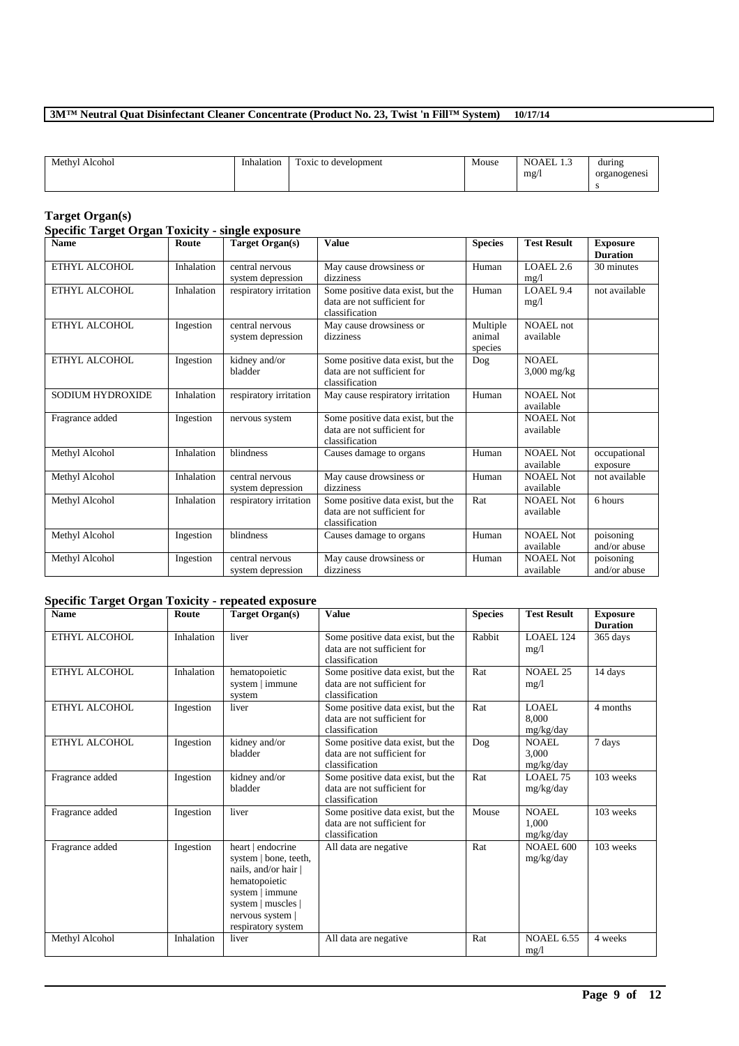| Alcohol<br>Methyl | Inhalation | $\overline{\phantom{a}}$<br>Toxic to development | Mouse | . THE<br>$\sim$<br>NO<br>لى بانلا<br>mg/ | during<br>organogenesi |
|-------------------|------------|--------------------------------------------------|-------|------------------------------------------|------------------------|
|-------------------|------------|--------------------------------------------------|-------|------------------------------------------|------------------------|

#### **Target Organ(s)**

#### **Specific Target Organ Toxicity - single exposure Name Route Route Target Organ(s) Value Species Test Result Exposure Duration** ETHYL ALCOHOL Inhalation central nervous system depression May cause drowsiness or dizziness Human LOAEL 2.6 mg/l 30 minutes ETHYL ALCOHOL Inhalation respiratory irritation Some positive data exist, but the data are not sufficient for classification Human LOAEL 9.4 mg/l not available ETHYL ALCOHOL Ingestion central nervous system depression May cause drowsiness or dizziness Multiple animal species<br>Dog NOAEL not available ETHYL ALCOHOL Ingestion kidney and/or bladder Some positive data exist, but the data are not sufficient for classification **NOAEL** 3,000 mg/kg SODIUM HYDROXIDE Inhalation respiratory irritation May cause respiratory irritation Human NOAEL Not available Fragrance added Ingestion nervous system Some positive data exist, but the data are not sufficient for classification NOAEL Not available Methyl Alcohol Inhalation blindness Causes damage to organs Human NOAEL Not available occupational exposure Methyl Alcohol Inhalation central nervous system depression May cause drowsiness or dizziness Human NOAEL Not available not available Methyl Alcohol Inhalation respiratory irritation Some positive data exist, but the data are not sufficient for classification Rat NOAEL Not available 6 hours Methyl Alcohol Ingestion blindness Causes damage to organs Human NOAEL Not available poisoning and/or abuse Methyl Alcohol Ingestion central nervous system depression May cause drowsiness or dizziness Human NOAEL Not available poisoning and/or abuse

### **Specific Target Organ Toxicity - repeated exposure**

| <b>Name</b>     | Route      | Target Organ(s)                                                                                                                                                        | <b>Value</b>                                                                       | <b>Species</b> | <b>Test Result</b>                 | <b>Exposure</b><br><b>Duration</b> |
|-----------------|------------|------------------------------------------------------------------------------------------------------------------------------------------------------------------------|------------------------------------------------------------------------------------|----------------|------------------------------------|------------------------------------|
| ETHYL ALCOHOL   | Inhalation | liver                                                                                                                                                                  | Some positive data exist, but the<br>data are not sufficient for<br>classification | Rabbit         | <b>LOAEL 124</b><br>mg/1           | 365 days                           |
| ETHYL ALCOHOL   | Inhalation | hematopoietic<br>system   immune<br>system                                                                                                                             | Some positive data exist, but the<br>data are not sufficient for<br>classification | Rat            | <b>NOAEL 25</b><br>mg/1            | 14 days                            |
| ETHYL ALCOHOL   | Ingestion  | liver                                                                                                                                                                  | Some positive data exist, but the<br>data are not sufficient for<br>classification | Rat            | LOAEL<br>8.000<br>mg/kg/day        | 4 months                           |
| ETHYL ALCOHOL   | Ingestion  | kidney and/or<br>bladder                                                                                                                                               | Some positive data exist, but the<br>data are not sufficient for<br>classification | Dog            | NOAEL.<br>3.000<br>mg/kg/day       | 7 days                             |
| Fragrance added | Ingestion  | kidney and/or<br>bladder                                                                                                                                               | Some positive data exist, but the<br>data are not sufficient for<br>classification | Rat            | LOAEL 75<br>mg/kg/day              | 103 weeks                          |
| Fragrance added | Ingestion  | liver                                                                                                                                                                  | Some positive data exist, but the<br>data are not sufficient for<br>classification | Mouse          | <b>NOAEL</b><br>1.000<br>mg/kg/day | 103 weeks                          |
| Fragrance added | Ingestion  | heart   endocrine<br>system   bone, teeth,<br>nails, and/or hair  <br>hematopoietic<br>system   immune<br>system   muscles  <br>nervous system  <br>respiratory system | All data are negative                                                              | Rat            | NOAEL 600<br>mg/kg/day             | 103 weeks                          |
| Methyl Alcohol  | Inhalation | liver                                                                                                                                                                  | All data are negative                                                              | Rat            | <b>NOAEL 6.55</b><br>mg/l          | 4 weeks                            |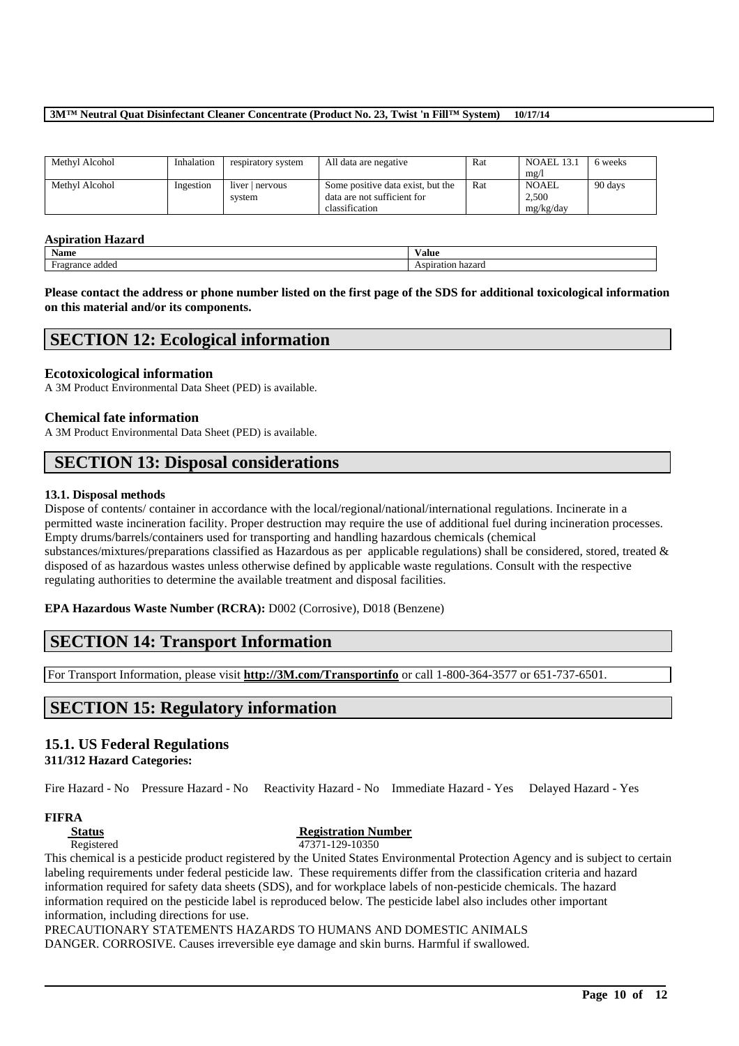| Methyl Alcohol | Inhalation | respiratory system      | All data are negative                                                              | Rat | <b>NOAEL 13.1</b><br>mg/    | 6 weeks |
|----------------|------------|-------------------------|------------------------------------------------------------------------------------|-----|-----------------------------|---------|
| Methyl Alcohol | Ingestion  | liver nervous<br>system | Some positive data exist, but the<br>data are not sufficient for<br>classification | Rat | NOAEL<br>2.500<br>mg/kg/day | 90 days |

### **Aspiration Hazard**

| Name          | Value             |
|---------------|-------------------|
| addeo         |                   |
| agrance       | $\sim$ 400 $\sim$ |
| $H^{\bullet}$ | аноп              |
| .             | -nazarc           |

**Please contact the address or phone number listed on the first page of the SDS for additional toxicological information on this material and/or its components.**

# **SECTION 12: Ecological information**

### **Ecotoxicological information**

A 3M Product Environmental Data Sheet (PED) is available.

### **Chemical fate information**

A 3M Product Environmental Data Sheet (PED) is available.

# **SECTION 13: Disposal considerations**

### **13.1. Disposal methods**

Dispose of contents/ container in accordance with the local/regional/national/international regulations. Incinerate in a permitted waste incineration facility. Proper destruction may require the use of additional fuel during incineration processes. Empty drums/barrels/containers used for transporting and handling hazardous chemicals (chemical substances/mixtures/preparations classified as Hazardous as per applicable regulations) shall be considered, stored, treated & disposed of as hazardous wastes unless otherwise defined by applicable waste regulations. Consult with the respective regulating authorities to determine the available treatment and disposal facilities.

**EPA Hazardous Waste Number (RCRA):** D002 (Corrosive), D018 (Benzene)

# **SECTION 14: Transport Information**

For Transport Information, please visit **http://3M.com/Transportinfo** or call 1-800-364-3577 or 651-737-6501.

# **SECTION 15: Regulatory information**

### **15.1. US Federal Regulations**

**311/312 Hazard Categories:**

Fire Hazard - No Pressure Hazard - No Reactivity Hazard - No Immediate Hazard - Yes Delayed Hazard - Yes

### **FIFRA**

### **Status Registration Number**

Registered 47371-129-10350

This chemical is a pesticide product registered by the United States Environmental Protection Agency and is subject to certain labeling requirements under federal pesticide law. These requirements differ from the classification criteria and hazard information required for safety data sheets (SDS), and for workplace labels of non-pesticide chemicals. The hazard information required on the pesticide label is reproduced below. The pesticide label also includes other important information, including directions for use.

\_\_\_\_\_\_\_\_\_\_\_\_\_\_\_\_\_\_\_\_\_\_\_\_\_\_\_\_\_\_\_\_\_\_\_\_\_\_\_\_\_\_\_\_\_\_\_\_\_\_\_\_\_\_\_\_\_\_\_\_\_\_\_\_\_\_\_\_\_\_\_\_\_\_\_\_\_\_\_\_\_\_\_\_\_\_\_\_\_\_

# PRECAUTIONARY STATEMENTS HAZARDS TO HUMANS AND DOMESTIC ANIMALS

DANGER. CORROSIVE. Causes irreversible eye damage and skin burns. Harmful if swallowed.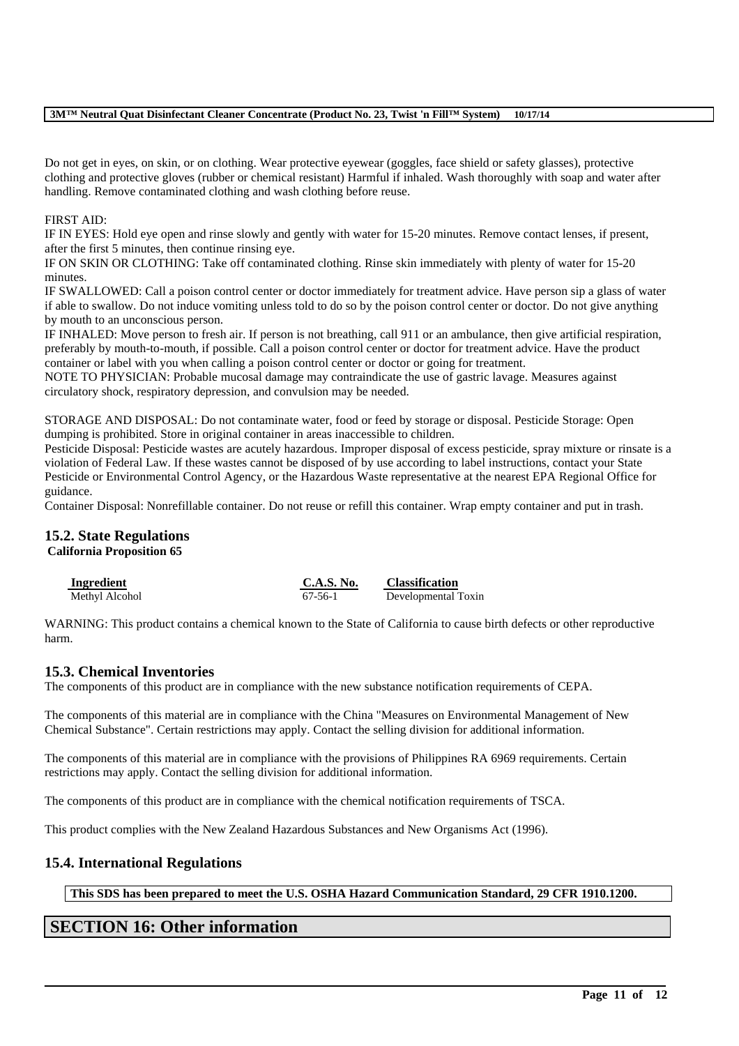Do not get in eyes, on skin, or on clothing. Wear protective eyewear (goggles, face shield or safety glasses), protective clothing and protective gloves (rubber or chemical resistant) Harmful if inhaled. Wash thoroughly with soap and water after handling. Remove contaminated clothing and wash clothing before reuse.

### FIRST AID:

IF IN EYES: Hold eye open and rinse slowly and gently with water for 15-20 minutes. Remove contact lenses, if present, after the first 5 minutes, then continue rinsing eye.

IF ON SKIN OR CLOTHING: Take off contaminated clothing. Rinse skin immediately with plenty of water for 15-20 minutes.

IF SWALLOWED: Call a poison control center or doctor immediately for treatment advice. Have person sip a glass of water if able to swallow. Do not induce vomiting unless told to do so by the poison control center or doctor. Do not give anything by mouth to an unconscious person.

IF INHALED: Move person to fresh air. If person is not breathing, call 911 or an ambulance, then give artificial respiration, preferably by mouth-to-mouth, if possible. Call a poison control center or doctor for treatment advice. Have the product container or label with you when calling a poison control center or doctor or going for treatment.

NOTE TO PHYSICIAN: Probable mucosal damage may contraindicate the use of gastric lavage. Measures against circulatory shock, respiratory depression, and convulsion may be needed.

STORAGE AND DISPOSAL: Do not contaminate water, food or feed by storage or disposal. Pesticide Storage: Open dumping is prohibited. Store in original container in areas inaccessible to children.

Pesticide Disposal: Pesticide wastes are acutely hazardous. Improper disposal of excess pesticide, spray mixture or rinsate is a violation of Federal Law. If these wastes cannot be disposed of by use according to label instructions, contact your State Pesticide or Environmental Control Agency, or the Hazardous Waste representative at the nearest EPA Regional Office for guidance.

Container Disposal: Nonrefillable container. Do not reuse or refill this container. Wrap empty container and put in trash.

# **15.2. State Regulations**

### **California Proposition 65**

| Ingredient     | C.A.S. No. | <b>Classification</b> |
|----------------|------------|-----------------------|
| Methyl Alcohol | 67-56-1    | Developmental Toxin   |

WARNING: This product contains a chemical known to the State of California to cause birth defects or other reproductive harm.

### **15.3. Chemical Inventories**

The components of this product are in compliance with the new substance notification requirements of CEPA.

The components of this material are in compliance with the China "Measures on Environmental Management of New Chemical Substance". Certain restrictions may apply. Contact the selling division for additional information.

The components of this material are in compliance with the provisions of Philippines RA 6969 requirements. Certain restrictions may apply. Contact the selling division for additional information.

The components of this product are in compliance with the chemical notification requirements of TSCA.

This product complies with the New Zealand Hazardous Substances and New Organisms Act (1996).

### **15.4. International Regulations**

**This SDS has been prepared to meet the U.S. OSHA Hazard Communication Standard, 29 CFR 1910.1200.**

\_\_\_\_\_\_\_\_\_\_\_\_\_\_\_\_\_\_\_\_\_\_\_\_\_\_\_\_\_\_\_\_\_\_\_\_\_\_\_\_\_\_\_\_\_\_\_\_\_\_\_\_\_\_\_\_\_\_\_\_\_\_\_\_\_\_\_\_\_\_\_\_\_\_\_\_\_\_\_\_\_\_\_\_\_\_\_\_\_\_

# **SECTION 16: Other information**